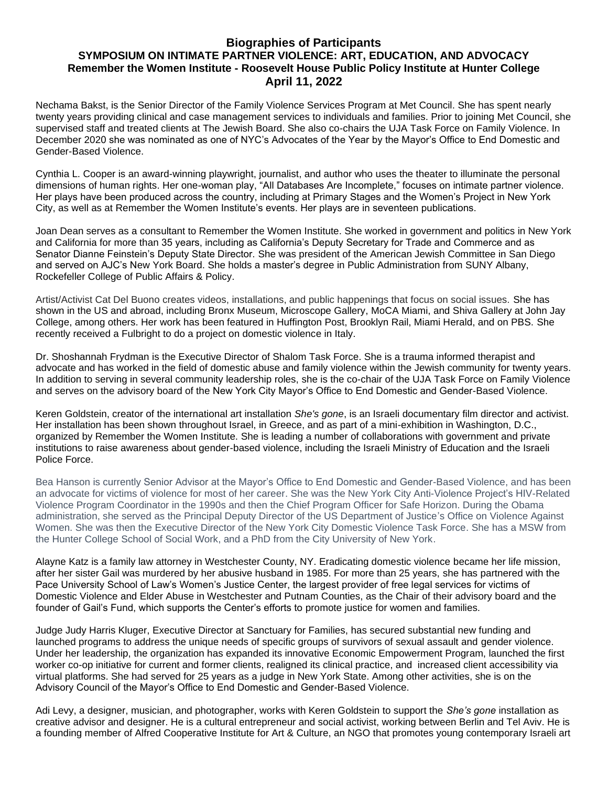## **Biographies of Participants SYMPOSIUM ON INTIMATE PARTNER VIOLENCE: ART, EDUCATION, AND ADVOCACY Remember the Women Institute - Roosevelt House Public Policy Institute at Hunter College April 11, 2022**

Nechama Bakst, is the Senior Director of the Family Violence Services Program at Met Council. She has spent nearly twenty years providing clinical and case management services to individuals and families. Prior to joining Met Council, she supervised staff and treated clients at The Jewish Board. She also co-chairs the UJA Task Force on Family Violence. In December 2020 she was nominated as one of NYC's Advocates of the Year by the Mayor's Office to End Domestic and Gender-Based Violence.

Cynthia L. Cooper is an award-winning playwright, journalist, and author who uses the theater to illuminate the personal dimensions of human rights. Her one-woman play, "All Databases Are Incomplete," focuses on intimate partner violence. Her plays have been produced across the country, including at Primary Stages and the Women's Project in New York City, as well as at Remember the Women Institute's events. Her plays are in seventeen publications.

Joan Dean serves as a consultant to Remember the Women Institute. She worked in government and politics in New York and California for more than 35 years, including as California's Deputy Secretary for Trade and Commerce and as Senator Dianne Feinstein's Deputy State Director. She was president of the American Jewish Committee in San Diego and served on AJC's New York Board. She holds a master's degree in Public Administration from SUNY Albany, Rockefeller College of Public Affairs & Policy.

Artist/Activist Cat Del Buono creates videos, installations, and public happenings that focus on social issues. She has shown in the US and abroad, including Bronx Museum, Microscope Gallery, MoCA Miami, and Shiva Gallery at John Jay College, among others. Her work has been featured in Huffington Post, Brooklyn Rail, Miami Herald, and on PBS. She recently received a Fulbright to do a project on domestic violence in Italy.

Dr. Shoshannah Frydman is the Executive Director of Shalom Task Force. She is a trauma informed therapist and advocate and has worked in the field of domestic abuse and family violence within the Jewish community for twenty years. In addition to serving in several community leadership roles, she is the co-chair of the UJA Task Force on Family Violence and serves on the advisory board of the New York City Mayor's Office to End Domestic and Gender-Based Violence.

Keren Goldstein, creator of the international art installation *She's gone*, is an Israeli documentary film director and activist. Her installation has been shown throughout Israel, in Greece, and as part of a mini-exhibition in Washington, D.C., organized by Remember the Women Institute. She is leading a number of collaborations with government and private institutions to raise awareness about gender-based violence, including the Israeli Ministry of Education and the Israeli Police Force.

Bea Hanson is currently Senior Advisor at the Mayor's Office to End Domestic and Gender-Based Violence, and has been an advocate for victims of violence for most of her career. She was the New York City Anti-Violence Project's HIV-Related Violence Program Coordinator in the 1990s and then the Chief Program Officer for Safe Horizon. During the Obama administration, she served as the Principal Deputy Director of the US Department of Justice's Office on Violence Against Women. She was then the Executive Director of the New York City Domestic Violence Task Force. She has a MSW from the Hunter College School of Social Work, and a PhD from the City University of New York.

Alayne Katz is a family law attorney in Westchester County, NY. Eradicating domestic violence became her life mission, after her sister Gail was murdered by her abusive husband in 1985. For more than 25 years, she has partnered with the Pace University School of Law's Women's Justice Center, the largest provider of free legal services for victims of Domestic Violence and Elder Abuse in Westchester and Putnam Counties, as the Chair of their advisory board and the founder of Gail's Fund, which supports the Center's efforts to promote justice for women and families.

Judge Judy Harris Kluger, Executive Director at Sanctuary for Families, has secured substantial new funding and launched programs to address the unique needs of specific groups of survivors of sexual assault and gender violence. Under her leadership, the organization has expanded its innovative Economic Empowerment Program, launched the first worker co-op initiative for current and former clients, realigned its clinical practice, and increased client accessibility via virtual platforms. She had served for 25 years as a judge in New York State. Among other activities, she is on the Advisory Council of the Mayor's Office to End Domestic and Gender-Based Violence.

Adi Levy, a designer, musician, and photographer, works with Keren Goldstein to support the *She's gone* installation as creative advisor and designer. He is a cultural entrepreneur and social activist, working between Berlin and Tel Aviv. He is a founding member of Alfred Cooperative Institute for Art & Culture, an NGO that promotes young contemporary Israeli art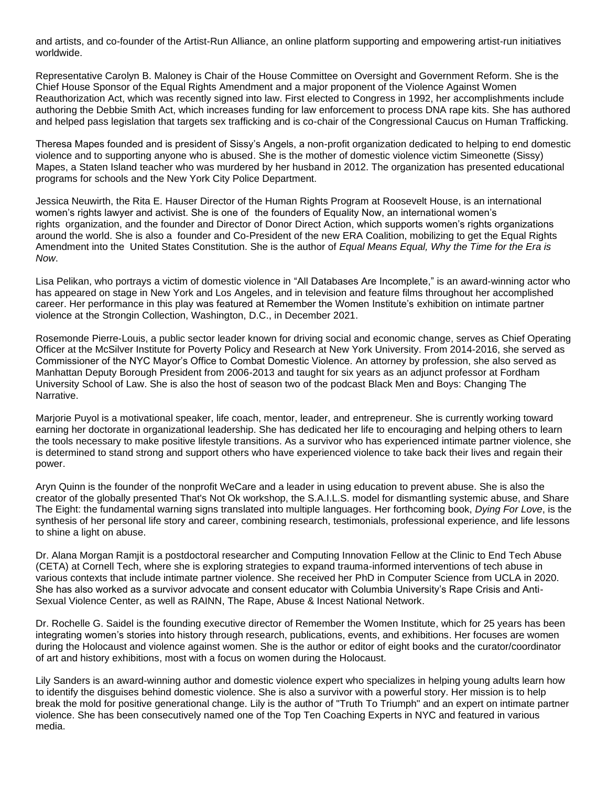and artists, and co-founder of the Artist-Run Alliance, an online platform supporting and empowering artist-run initiatives worldwide.

Representative Carolyn B. Maloney is Chair of the House Committee on Oversight and Government Reform. She is the Chief House Sponsor of the Equal Rights Amendment and a major proponent of the Violence Against Women Reauthorization Act, which was recently signed into law. First elected to Congress in 1992, her accomplishments include authoring the Debbie Smith Act, which increases funding for law enforcement to process DNA rape kits. She has authored and helped pass legislation that targets sex trafficking and is co-chair of the Congressional Caucus on Human Trafficking.

Theresa Mapes founded and is president of Sissy's Angels, a non-profit organization dedicated to helping to end domestic violence and to supporting anyone who is abused. She is the mother of domestic violence victim Simeonette (Sissy) Mapes, a Staten Island teacher who was murdered by her husband in 2012. The organization has presented educational programs for schools and the New York City Police Department.

Jessica Neuwirth, the Rita E. Hauser Director of the Human Rights Program at Roosevelt House, is an international women's rights lawyer and activist. She is one of the founders of Equality Now, an international women's rights organization, and the founder and Director of Donor Direct Action, which supports women's rights organizations around the world. She is also a founder and Co-President of the new ERA Coalition, mobilizing to get the Equal Rights Amendment into the United States Constitution. She is the author of *Equal Means Equal, Why the Time for the Era is Now*.

Lisa Pelikan, who portrays a victim of domestic violence in "All Databases Are Incomplete," is an award-winning actor who has appeared on stage in New York and Los Angeles, and in television and feature films throughout her accomplished career. Her performance in this play was featured at Remember the Women Institute's exhibition on intimate partner violence at the Strongin Collection, Washington, D.C., in December 2021.

Rosemonde Pierre-Louis, a public sector leader known for driving social and economic change, serves as Chief Operating Officer at the McSilver Institute for Poverty Policy and Research at New York University. From 2014-2016, she served as Commissioner of the NYC Mayor's Office to Combat Domestic Violence. An attorney by profession, she also served as Manhattan Deputy Borough President from 2006-2013 and taught for six years as an adjunct professor at Fordham University School of Law. She is also the host of season two of the podcast Black Men and Boys: Changing The Narrative.

Marjorie Puyol is a motivational speaker, life coach, mentor, leader, and entrepreneur. She is currently working toward earning her doctorate in organizational leadership. She has dedicated her life to encouraging and helping others to learn the tools necessary to make positive lifestyle transitions. As a survivor who has experienced intimate partner violence, she is determined to stand strong and support others who have experienced violence to take back their lives and regain their power.

Aryn Quinn is the founder of the nonprofit WeCare and a leader in using education to prevent abuse. She is also the creator of the globally presented That's Not Ok workshop, the S.A.I.L.S. model for dismantling systemic abuse, and Share The Eight: the fundamental warning signs translated into multiple languages. Her forthcoming book, *Dying For Love*, is the synthesis of her personal life story and career, combining research, testimonials, professional experience, and life lessons to shine a light on abuse.

Dr. Alana Morgan Ramjit is a postdoctoral researcher and Computing Innovation Fellow at the [Clinic to End Tech Abuse](https://www.ceta.tech.cornell.edu/) (CETA) at Cornell Tech, where she is exploring strategies to expand trauma-informed interventions of tech abuse in various contexts that include intimate partner violence. She received her PhD in Computer Science from UCLA in 2020. She has also worked as a survivor advocate and consent educator with Columbia University's Rape Crisis and Anti-Sexual Violence Center, as well as RAINN, The Rape, Abuse & Incest National Network.

Dr. Rochelle G. Saidel is the founding executive director of Remember the Women Institute, which for 25 years has been integrating women's stories into history through research, publications, events, and exhibitions. Her focuses are women during the Holocaust and violence against women. She is the author or editor of eight books and the curator/coordinator of art and history exhibitions, most with a focus on women during the Holocaust.

Lily Sanders is an award-winning author and domestic violence expert who specializes in helping young adults learn how to identify the disguises behind domestic violence. She is also a survivor with a powerful story. Her mission is to help break the mold for positive generational change. Lily is the author of "Truth To Triumph" and an expert on intimate partner violence. She has been consecutively named one of the Top Ten Coaching Experts in NYC and featured in various media.